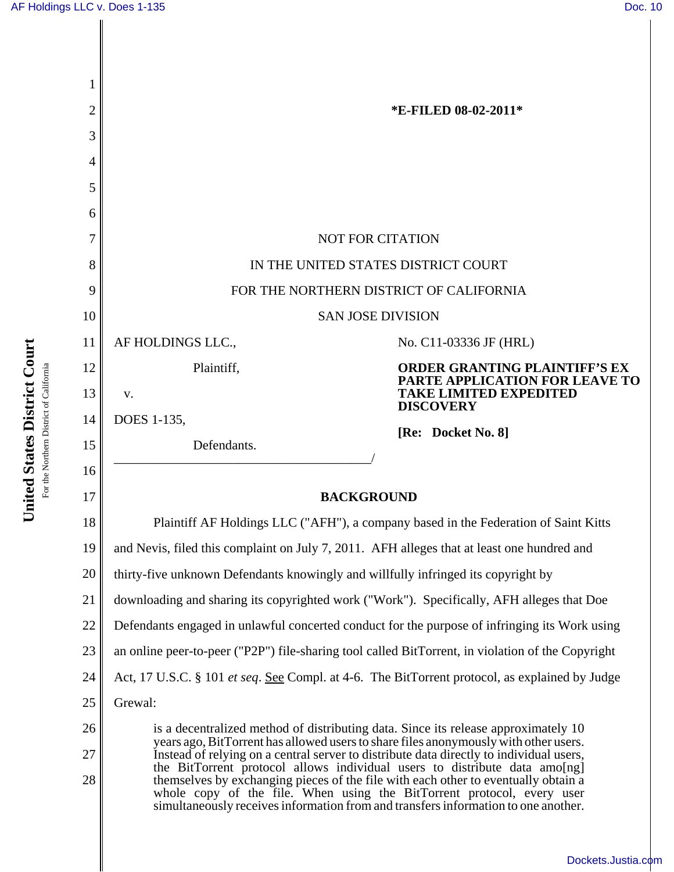| 2  | *E-FILED 08-02-2011*                                                                                                                                                                                                                                                                                                                                                                                                                                                                                               |                                                                        |  |
|----|--------------------------------------------------------------------------------------------------------------------------------------------------------------------------------------------------------------------------------------------------------------------------------------------------------------------------------------------------------------------------------------------------------------------------------------------------------------------------------------------------------------------|------------------------------------------------------------------------|--|
| 3  |                                                                                                                                                                                                                                                                                                                                                                                                                                                                                                                    |                                                                        |  |
| 4  |                                                                                                                                                                                                                                                                                                                                                                                                                                                                                                                    |                                                                        |  |
| 5  |                                                                                                                                                                                                                                                                                                                                                                                                                                                                                                                    |                                                                        |  |
| 6  |                                                                                                                                                                                                                                                                                                                                                                                                                                                                                                                    |                                                                        |  |
| 7  | <b>NOT FOR CITATION</b>                                                                                                                                                                                                                                                                                                                                                                                                                                                                                            |                                                                        |  |
| 8  | IN THE UNITED STATES DISTRICT COURT                                                                                                                                                                                                                                                                                                                                                                                                                                                                                |                                                                        |  |
| 9  | FOR THE NORTHERN DISTRICT OF CALIFORNIA                                                                                                                                                                                                                                                                                                                                                                                                                                                                            |                                                                        |  |
| 10 | <b>SAN JOSE DIVISION</b>                                                                                                                                                                                                                                                                                                                                                                                                                                                                                           |                                                                        |  |
| 11 | AF HOLDINGS LLC.,                                                                                                                                                                                                                                                                                                                                                                                                                                                                                                  | No. C11-03336 JF (HRL)                                                 |  |
| 12 | Plaintiff,                                                                                                                                                                                                                                                                                                                                                                                                                                                                                                         | <b>ORDER GRANTING PLAINTIFF'S EX</b><br>PARTE APPLICATION FOR LEAVE TO |  |
| 13 | V.                                                                                                                                                                                                                                                                                                                                                                                                                                                                                                                 | <b>TAKE LIMITED EXPEDITED</b><br><b>DISCOVERY</b>                      |  |
| 14 | DOES 1-135,                                                                                                                                                                                                                                                                                                                                                                                                                                                                                                        | [Re: Docket No. 8]                                                     |  |
| 15 | Defendants.                                                                                                                                                                                                                                                                                                                                                                                                                                                                                                        |                                                                        |  |
| 16 |                                                                                                                                                                                                                                                                                                                                                                                                                                                                                                                    |                                                                        |  |
| 17 | <b>BACKGROUND</b>                                                                                                                                                                                                                                                                                                                                                                                                                                                                                                  |                                                                        |  |
| 18 | Plaintiff AF Holdings LLC ("AFH"), a company based in the Federation of Saint Kitts                                                                                                                                                                                                                                                                                                                                                                                                                                |                                                                        |  |
| 19 | and Nevis, filed this complaint on July 7, 2011. AFH alleges that at least one hundred and                                                                                                                                                                                                                                                                                                                                                                                                                         |                                                                        |  |
| 20 | thirty-five unknown Defendants knowingly and willfully infringed its copyright by                                                                                                                                                                                                                                                                                                                                                                                                                                  |                                                                        |  |
| 21 | downloading and sharing its copyrighted work ("Work"). Specifically, AFH alleges that Doe                                                                                                                                                                                                                                                                                                                                                                                                                          |                                                                        |  |
| 22 | Defendants engaged in unlawful concerted conduct for the purpose of infringing its Work using                                                                                                                                                                                                                                                                                                                                                                                                                      |                                                                        |  |
| 23 | an online peer-to-peer ("P2P") file-sharing tool called BitTorrent, in violation of the Copyright                                                                                                                                                                                                                                                                                                                                                                                                                  |                                                                        |  |
| 24 | Act, 17 U.S.C. § 101 et seq. See Compl. at 4-6. The BitTorrent protocol, as explained by Judge                                                                                                                                                                                                                                                                                                                                                                                                                     |                                                                        |  |
| 25 | Grewal:                                                                                                                                                                                                                                                                                                                                                                                                                                                                                                            |                                                                        |  |
| 26 | is a decentralized method of distributing data. Since its release approximately 10                                                                                                                                                                                                                                                                                                                                                                                                                                 |                                                                        |  |
| 27 | years ago, BitTorrent has allowed users to share files anonymously with other users.<br>Instead of relying on a central server to distribute data directly to individual users,<br>the BitTorrent protocol allows individual users to distribute data amolog<br>themselves by exchanging pieces of the file with each other to eventually obtain a<br>whole copy of the file. When using the BitTorrent protocol, every user<br>simultaneously receives information from and transfers information to one another. |                                                                        |  |
| 28 |                                                                                                                                                                                                                                                                                                                                                                                                                                                                                                                    |                                                                        |  |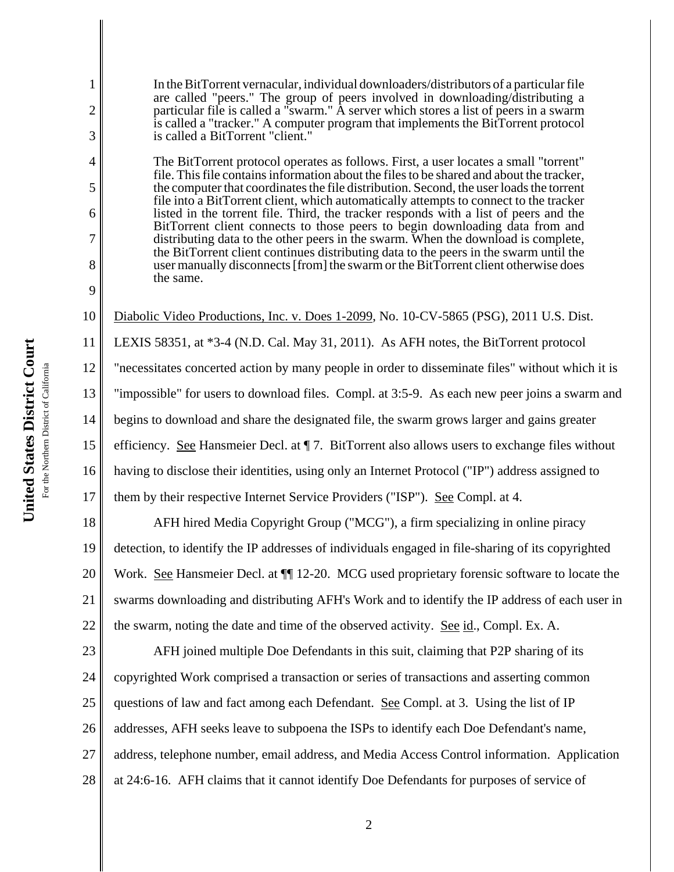In the BitTorrent vernacular, individual downloaders/distributors of a particular file are called "peers." The group of peers involved in downloading/distributing a particular file is called a "swarm." A server which stores a list of peers in a swarm is called a "tracker." A computer program that implements the BitTorrent protocol is called a BitTorrent "client."

The BitTorrent protocol operates as follows. First, a user locates a small "torrent" file. This file contains information about the files to be shared and about the tracker, the computer that coordinates the file distribution. Second, the user loads the torrent file into a BitTorrent client, which automatically attempts to connect to the tracker listed in the torrent file. Third, the tracker responds with a list of peers and the BitTorrent client connects to those peers to begin downloading data from and distributing data to the other peers in the swarm. When the download is complete, the BitTorrent client continues distributing data to the peers in the swarm until the user manually disconnects [from] the swarm or the BitTorrent client otherwise does the same.

10 Diabolic Video Productions, Inc. v. Does 1-2099, No. 10-CV-5865 (PSG), 2011 U.S. Dist.

11 LEXIS 58351, at \*3-4 (N.D. Cal. May 31, 2011). As AFH notes, the BitTorrent protocol

12 "necessitates concerted action by many people in order to disseminate files" without which it is

13 "impossible" for users to download files. Compl. at 3:5-9. As each new peer joins a swarm and

14 begins to download and share the designated file, the swarm grows larger and gains greater

15 efficiency. See Hansmeier Decl. at  $\P$  7. BitTorrent also allows users to exchange files without

16 having to disclose their identities, using only an Internet Protocol ("IP") address assigned to

17 them by their respective Internet Service Providers ("ISP"). See Compl. at 4.

18 19 20 21 22 AFH hired Media Copyright Group ("MCG"), a firm specializing in online piracy detection, to identify the IP addresses of individuals engaged in file-sharing of its copyrighted Work. See Hansmeier Decl. at  $\P$  12-20. MCG used proprietary forensic software to locate the swarms downloading and distributing AFH's Work and to identify the IP address of each user in the swarm, noting the date and time of the observed activity. See id., Compl. Ex. A.

23 24 25 26 27 28 AFH joined multiple Doe Defendants in this suit, claiming that P2P sharing of its copyrighted Work comprised a transaction or series of transactions and asserting common questions of law and fact among each Defendant. See Compl. at 3. Using the list of IP addresses, AFH seeks leave to subpoena the ISPs to identify each Doe Defendant's name, address, telephone number, email address, and Media Access Control information. Application at 24:6-16. AFH claims that it cannot identify Doe Defendants for purposes of service of

1

2

3

4

5

6

7

8

9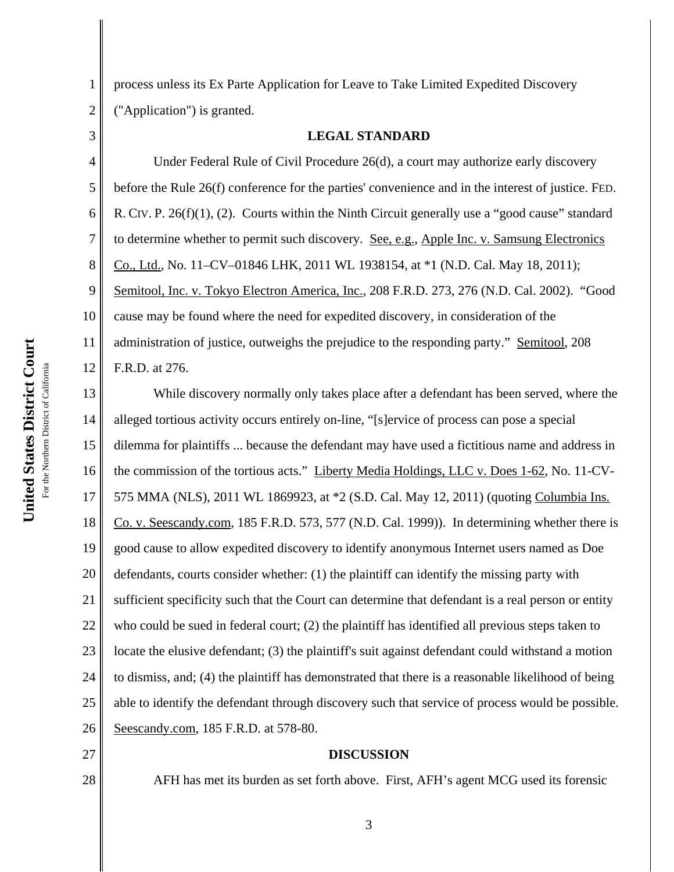3

1 2 process unless its Ex Parte Application for Leave to Take Limited Expedited Discovery ("Application") is granted.

## **LEGAL STANDARD**

4 5 6 7 8 9 10 11 12 Under Federal Rule of Civil Procedure 26(d), a court may authorize early discovery before the Rule 26(f) conference for the parties' convenience and in the interest of justice. FED. R. CIV. P.  $26(f)(1)$ , (2). Courts within the Ninth Circuit generally use a "good cause" standard to determine whether to permit such discovery. See, e.g., Apple Inc. v. Samsung Electronics Co., Ltd., No. 11–CV–01846 LHK, 2011 WL 1938154, at \*1 (N.D. Cal. May 18, 2011); Semitool, Inc. v. Tokyo Electron America, Inc., 208 F.R.D. 273, 276 (N.D. Cal. 2002). "Good cause may be found where the need for expedited discovery, in consideration of the administration of justice, outweighs the prejudice to the responding party." Semitool, 208 F.R.D. at 276.

13 14 15 16 17 18 19 20 21 22 23 24 25 26 While discovery normally only takes place after a defendant has been served, where the alleged tortious activity occurs entirely on-line, "[s]ervice of process can pose a special dilemma for plaintiffs ... because the defendant may have used a fictitious name and address in the commission of the tortious acts." Liberty Media Holdings, LLC v. Does 1-62, No. 11-CV-575 MMA (NLS), 2011 WL 1869923, at \*2 (S.D. Cal. May 12, 2011) (quoting Columbia Ins. Co. v. Seescandy.com, 185 F.R.D. 573, 577 (N.D. Cal. 1999)). In determining whether there is good cause to allow expedited discovery to identify anonymous Internet users named as Doe defendants, courts consider whether: (1) the plaintiff can identify the missing party with sufficient specificity such that the Court can determine that defendant is a real person or entity who could be sued in federal court; (2) the plaintiff has identified all previous steps taken to locate the elusive defendant; (3) the plaintiff's suit against defendant could withstand a motion to dismiss, and; (4) the plaintiff has demonstrated that there is a reasonable likelihood of being able to identify the defendant through discovery such that service of process would be possible. Seescandy.com, 185 F.R.D. at 578-80.

27

28

## **DISCUSSION**

AFH has met its burden as set forth above. First, AFH's agent MCG used its forensic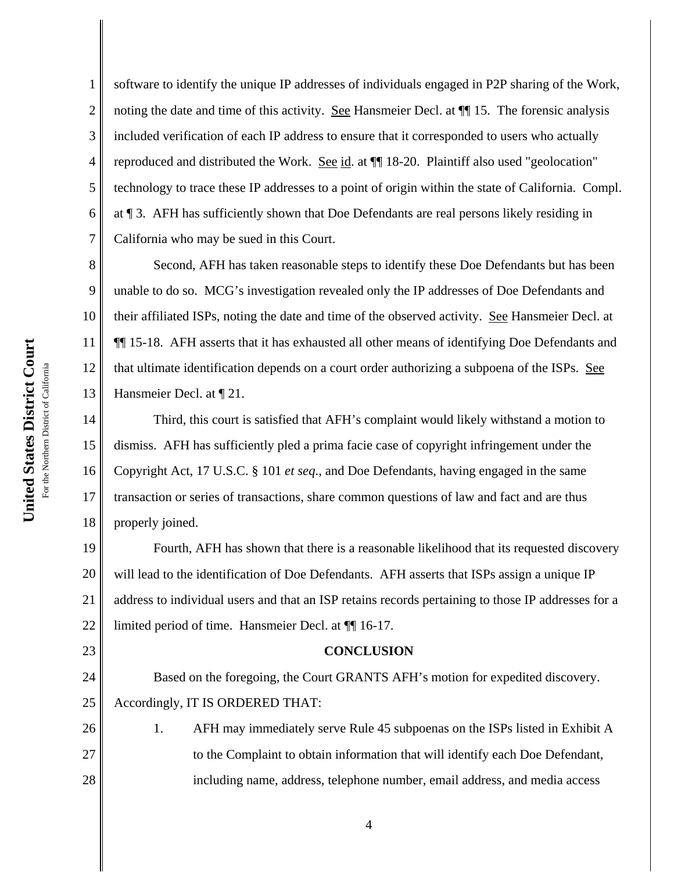1

2

5

7

23

24

25

26

27

28

3 4 6 software to identify the unique IP addresses of individuals engaged in P2P sharing of the Work, noting the date and time of this activity. See Hansmeier Decl. at  $\P$  15. The forensic analysis included verification of each IP address to ensure that it corresponded to users who actually reproduced and distributed the Work. See id. at  $\P$  18-20. Plaintiff also used "geolocation" technology to trace these IP addresses to a point of origin within the state of California. Compl. at ¶ 3. AFH has sufficiently shown that Doe Defendants are real persons likely residing in California who may be sued in this Court.

8 9 10 11 12 13 Second, AFH has taken reasonable steps to identify these Doe Defendants but has been unable to do so. MCG's investigation revealed only the IP addresses of Doe Defendants and their affiliated ISPs, noting the date and time of the observed activity. See Hansmeier Decl. at ¶¶ 15-18. AFH asserts that it has exhausted all other means of identifying Doe Defendants and that ultimate identification depends on a court order authorizing a subpoena of the ISPs. See Hansmeier Decl. at ¶ 21.

14 15 16 17 18 Third, this court is satisfied that AFH's complaint would likely withstand a motion to dismiss. AFH has sufficiently pled a prima facie case of copyright infringement under the Copyright Act, 17 U.S.C. § 101 *et seq*., and Doe Defendants, having engaged in the same transaction or series of transactions, share common questions of law and fact and are thus properly joined.

19 20 21 22 Fourth, AFH has shown that there is a reasonable likelihood that its requested discovery will lead to the identification of Doe Defendants. AFH asserts that ISPs assign a unique IP address to individual users and that an ISP retains records pertaining to those IP addresses for a limited period of time. Hansmeier Decl. at ¶¶ 16-17.

## **CONCLUSION**

Based on the foregoing, the Court GRANTS AFH's motion for expedited discovery. Accordingly, IT IS ORDERED THAT:

1. AFH may immediately serve Rule 45 subpoenas on the ISPs listed in Exhibit A to the Complaint to obtain information that will identify each Doe Defendant, including name, address, telephone number, email address, and media access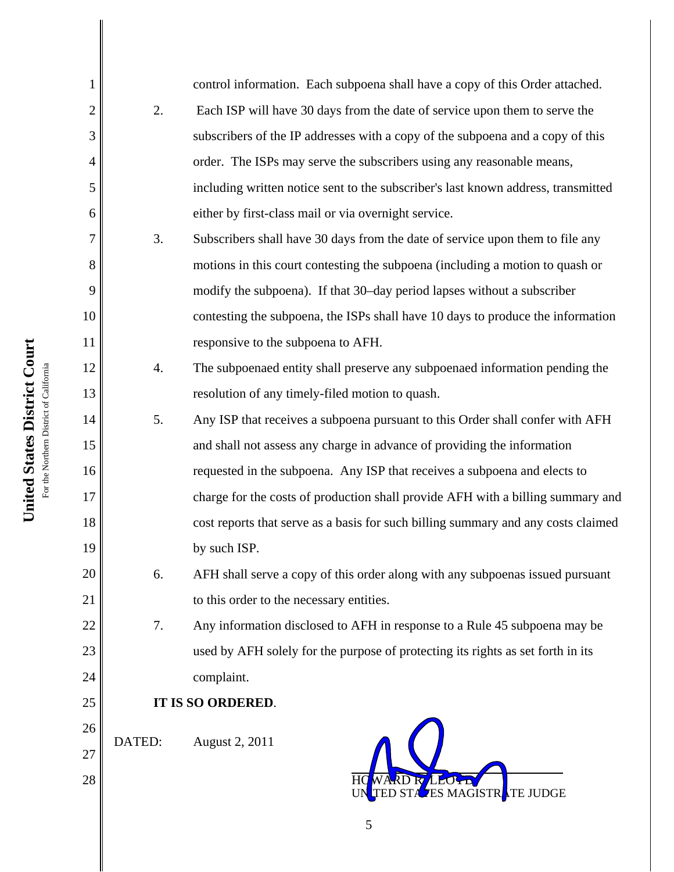| 1              |                  | control information. Each subpoena shall have a copy of this Order attached.      |  |
|----------------|------------------|-----------------------------------------------------------------------------------|--|
| $\overline{2}$ | 2.               | Each ISP will have 30 days from the date of service upon them to serve the        |  |
| 3              |                  | subscribers of the IP addresses with a copy of the subpoena and a copy of this    |  |
| $\overline{4}$ |                  | order. The ISPs may serve the subscribers using any reasonable means,             |  |
| 5              |                  | including written notice sent to the subscriber's last known address, transmitted |  |
| 6              |                  | either by first-class mail or via overnight service.                              |  |
| 7              | 3.               | Subscribers shall have 30 days from the date of service upon them to file any     |  |
| 8              |                  | motions in this court contesting the subpoena (including a motion to quash or     |  |
| 9              |                  | modify the subpoena). If that 30–day period lapses without a subscriber           |  |
| 10             |                  | contesting the subpoena, the ISPs shall have 10 days to produce the information   |  |
| 11             |                  | responsive to the subpoena to AFH.                                                |  |
| 12             | $\overline{4}$ . | The subpoenaed entity shall preserve any subpoenaed information pending the       |  |
| 13             |                  | resolution of any timely-filed motion to quash.                                   |  |
| 14             | 5.               | Any ISP that receives a subpoena pursuant to this Order shall confer with AFH     |  |
| 15             |                  | and shall not assess any charge in advance of providing the information           |  |
| 16             |                  | requested in the subpoena. Any ISP that receives a subpoena and elects to         |  |
| 17             |                  | charge for the costs of production shall provide AFH with a billing summary and   |  |
| 18             |                  | cost reports that serve as a basis for such billing summary and any costs claimed |  |
| 19             |                  | by such ISP.                                                                      |  |
| 20             | 6.               | AFH shall serve a copy of this order along with any subpoenas issued pursuant     |  |
| 21             |                  | to this order to the necessary entities.                                          |  |
| 22             | 7.               | Any information disclosed to AFH in response to a Rule 45 subpoena may be         |  |
| 23             |                  | used by AFH solely for the purpose of protecting its rights as set forth in its   |  |
| 24             |                  | complaint.                                                                        |  |
| 25             |                  | IT IS SO ORDERED.                                                                 |  |
| 26             | DATED:           | August 2, 2011                                                                    |  |
| 27             |                  |                                                                                   |  |
| 28             |                  | ES MAGISTRATE JUDGE                                                               |  |
|                |                  |                                                                                   |  |

United States District Court **United States District Court** For the Northern District of California For the Northern District of California

 $\blacksquare$